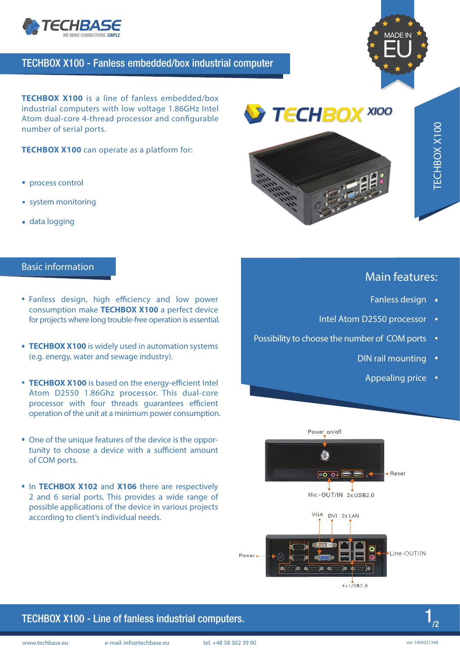

### TECHBOX X100 - Fanless embedded/box industrial computer



**TECHBOX X100** is a line of fanless embedded/box industrial computers with low voltage 1.86GHz Intel Atom dual-core 4-thread processor and configurable number of serial ports.

**TECHBOX X100** can operate as a platform for:

- **process control**
- system monitoring
- data logging

#### Basic information

- **Fanless design, high efficiency and low power** consumption make **TECHBOX X100** a perfect device for projects where long trouble-free operation is essential.
- **TECHBOX X100** is widely used in automation systems (e.g. energy, water and sewage industry).
- **TECHBOX X100** is based on the energy-efficient Intel Atom D2550 1.86Ghz processor. This dual-core processor with four threads guarantees efficient operation of the unit at a minimum power consumption.
- One of the unique features of the device is the opportunity to choose a device with a sufficient amount of COM ports.
- **In TECHBOX X102 and X106** there are respectively 2 and 6 serial ports. This provides a wide range of possible applications of the device in various projects according to client's individual needs.



## Main features:

- Fanless design •
- Intel Atom D2550 processor ·
- Possibility to choose the number of COM ports  $\blacksquare$ 
	- DIN rail mounting  $\blacksquare$ 
		- Appealing price •



 $4 \times$ USB2.0

### TECHBOX X100 - Line of fanless industrial computers.